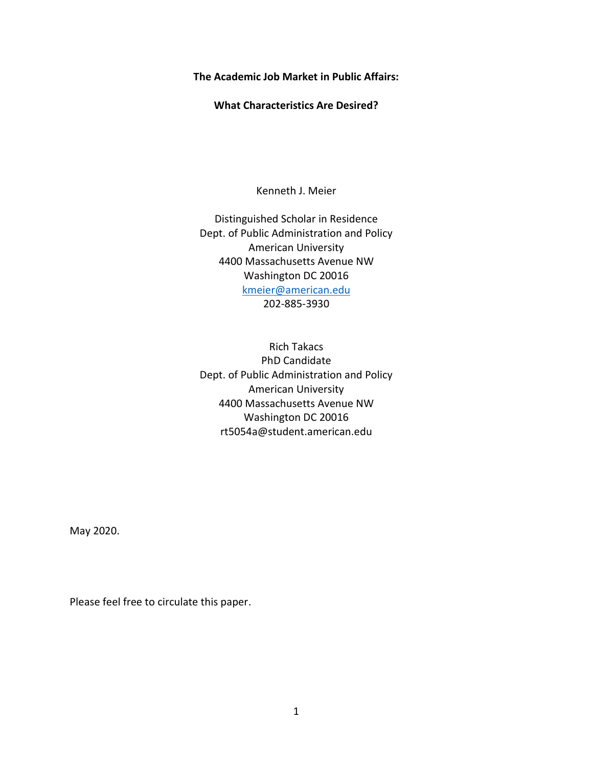**The Academic Job Market in Public Affairs:**

**What Characteristics Are Desired?**

Kenneth J. Meier

Distinguished Scholar in Residence Dept. of Public Administration and Policy American University 4400 Massachusetts Avenue NW Washington DC 20016 [kmeier@american.edu](mailto:kmeier@american.edu) 202-885-3930

Rich Takacs PhD Candidate Dept. of Public Administration and Policy American University 4400 Massachusetts Avenue NW Washington DC 20016 rt5054a@student.american.edu

May 2020.

Please feel free to circulate this paper.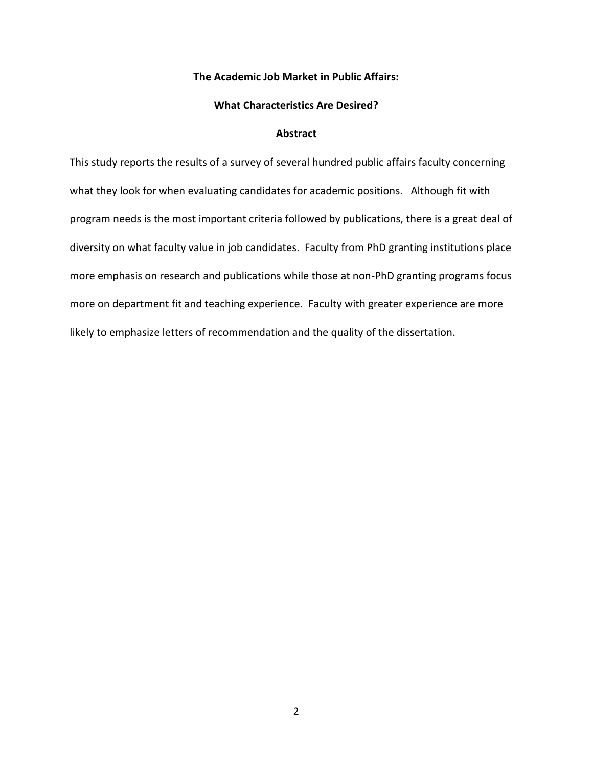## **The Academic Job Market in Public Affairs:**

#### **What Characteristics Are Desired?**

### **Abstract**

This study reports the results of a survey of several hundred public affairs faculty concerning what they look for when evaluating candidates for academic positions. Although fit with program needs is the most important criteria followed by publications, there is a great deal of diversity on what faculty value in job candidates. Faculty from PhD granting institutions place more emphasis on research and publications while those at non-PhD granting programs focus more on department fit and teaching experience. Faculty with greater experience are more likely to emphasize letters of recommendation and the quality of the dissertation.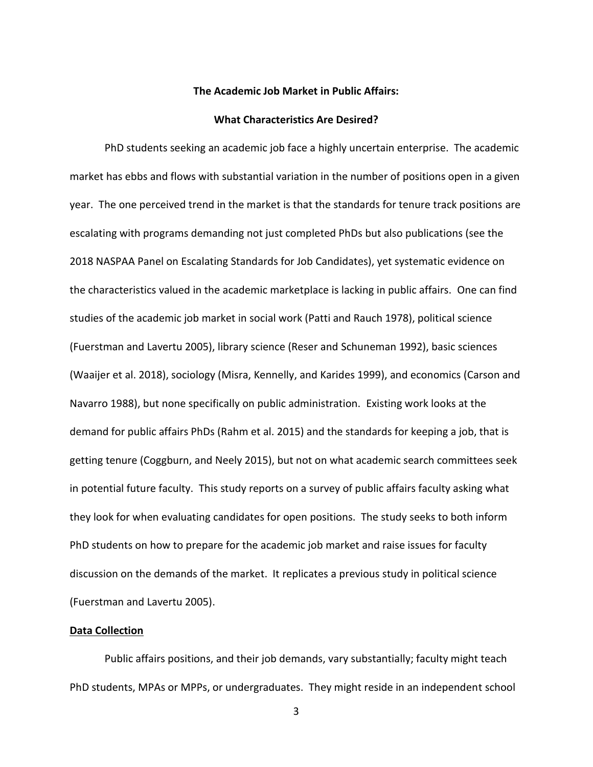# **The Academic Job Market in Public Affairs:**

#### **What Characteristics Are Desired?**

PhD students seeking an academic job face a highly uncertain enterprise. The academic market has ebbs and flows with substantial variation in the number of positions open in a given year. The one perceived trend in the market is that the standards for tenure track positions are escalating with programs demanding not just completed PhDs but also publications (see the 2018 NASPAA Panel on Escalating Standards for Job Candidates), yet systematic evidence on the characteristics valued in the academic marketplace is lacking in public affairs. One can find studies of the academic job market in social work (Patti and Rauch 1978), political science (Fuerstman and Lavertu 2005), library science (Reser and Schuneman 1992), basic sciences (Waaijer et al. 2018), sociology (Misra, Kennelly, and Karides 1999), and economics (Carson and Navarro 1988), but none specifically on public administration. Existing work looks at the demand for public affairs PhDs (Rahm et al. 2015) and the standards for keeping a job, that is getting tenure (Coggburn, and Neely 2015), but not on what academic search committees seek in potential future faculty. This study reports on a survey of public affairs faculty asking what they look for when evaluating candidates for open positions. The study seeks to both inform PhD students on how to prepare for the academic job market and raise issues for faculty discussion on the demands of the market. It replicates a previous study in political science (Fuerstman and Lavertu 2005).

# **Data Collection**

Public affairs positions, and their job demands, vary substantially; faculty might teach PhD students, MPAs or MPPs, or undergraduates. They might reside in an independent school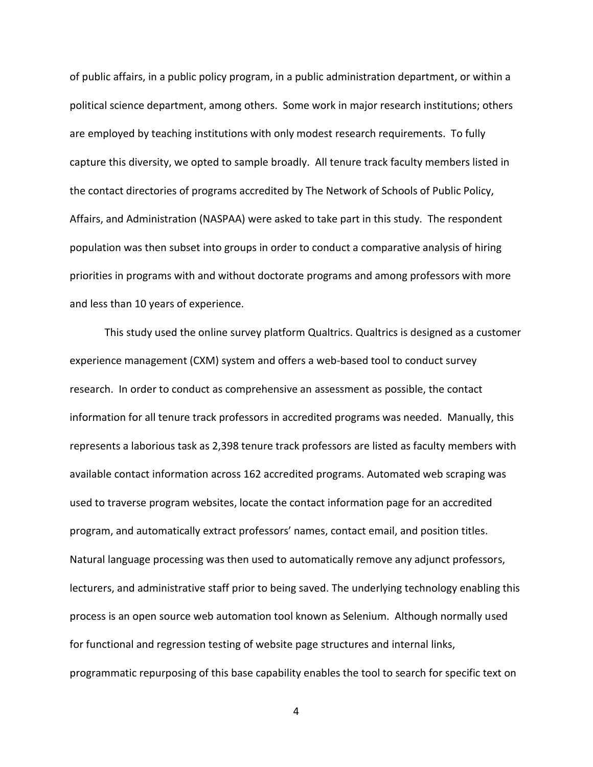of public affairs, in a public policy program, in a public administration department, or within a political science department, among others. Some work in major research institutions; others are employed by teaching institutions with only modest research requirements. To fully capture this diversity, we opted to sample broadly. All tenure track faculty members listed in the contact directories of programs accredited by The Network of Schools of Public Policy, Affairs, and Administration (NASPAA) were asked to take part in this study. The respondent population was then subset into groups in order to conduct a comparative analysis of hiring priorities in programs with and without doctorate programs and among professors with more and less than 10 years of experience.

This study used the online survey platform Qualtrics. Qualtrics is designed as a customer experience management (CXM) system and offers a web-based tool to conduct survey research. In order to conduct as comprehensive an assessment as possible, the contact information for all tenure track professors in accredited programs was needed. Manually, this represents a laborious task as 2,398 tenure track professors are listed as faculty members with available contact information across 162 accredited programs. Automated web scraping was used to traverse program websites, locate the contact information page for an accredited program, and automatically extract professors' names, contact email, and position titles. Natural language processing was then used to automatically remove any adjunct professors, lecturers, and administrative staff prior to being saved. The underlying technology enabling this process is an open source web automation tool known as Selenium. Although normally used for functional and regression testing of website page structures and internal links, programmatic repurposing of this base capability enables the tool to search for specific text on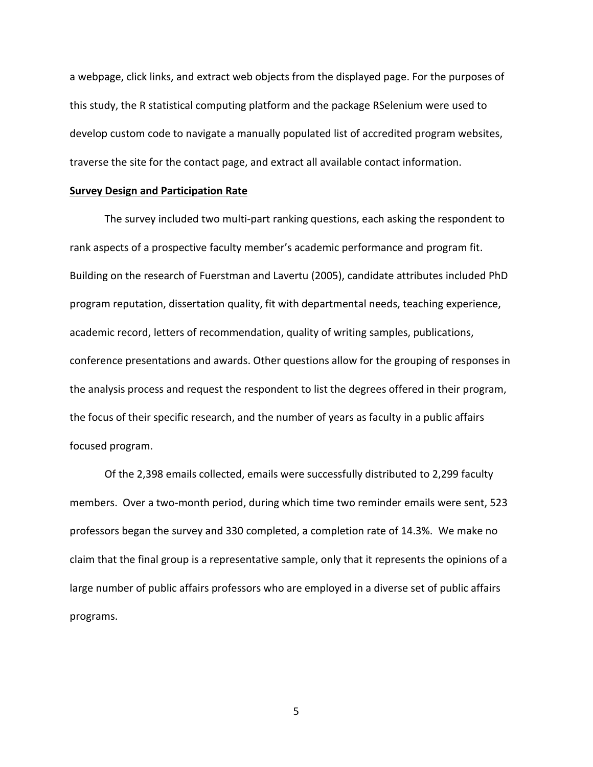a webpage, click links, and extract web objects from the displayed page. For the purposes of this study, the R statistical computing platform and the package RSelenium were used to develop custom code to navigate a manually populated list of accredited program websites, traverse the site for the contact page, and extract all available contact information.

## **Survey Design and Participation Rate**

The survey included two multi-part ranking questions, each asking the respondent to rank aspects of a prospective faculty member's academic performance and program fit. Building on the research of Fuerstman and Lavertu (2005), candidate attributes included PhD program reputation, dissertation quality, fit with departmental needs, teaching experience, academic record, letters of recommendation, quality of writing samples, publications, conference presentations and awards. Other questions allow for the grouping of responses in the analysis process and request the respondent to list the degrees offered in their program, the focus of their specific research, and the number of years as faculty in a public affairs focused program.

Of the 2,398 emails collected, emails were successfully distributed to 2,299 faculty members. Over a two-month period, during which time two reminder emails were sent, 523 professors began the survey and 330 completed, a completion rate of 14.3%. We make no claim that the final group is a representative sample, only that it represents the opinions of a large number of public affairs professors who are employed in a diverse set of public affairs programs.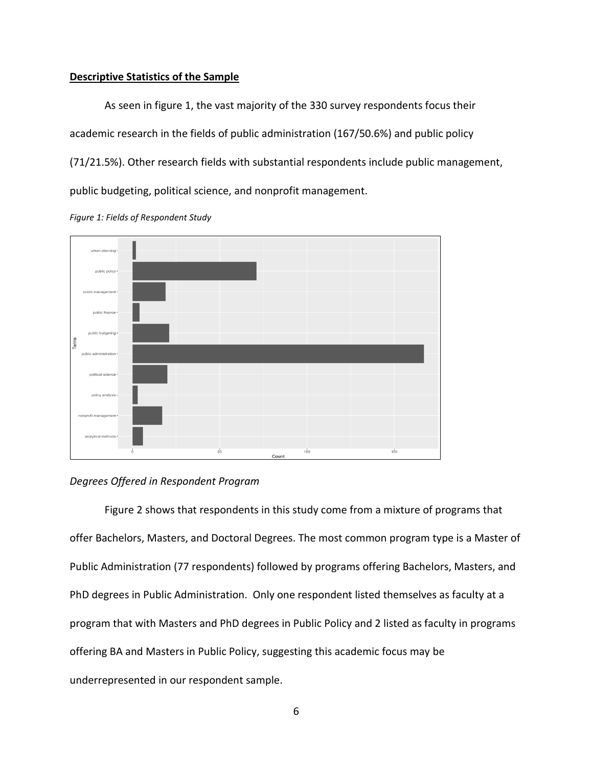# **Descriptive Statistics of the Sample**

As seen in figure 1, the vast majority of the 330 survey respondents focus their academic research in the fields of public administration (167/50.6%) and public policy (71/21.5%). Other research fields with substantial respondents include public management, public budgeting, political science, and nonprofit management.



*Figure 1: Fields of Respondent Study* 

# *Degrees Offered in Respondent Program*

Figure 2 shows that respondents in this study come from a mixture of programs that offer Bachelors, Masters, and Doctoral Degrees. The most common program type is a Master of Public Administration (77 respondents) followed by programs offering Bachelors, Masters, and PhD degrees in Public Administration. Only one respondent listed themselves as faculty at a program that with Masters and PhD degrees in Public Policy and 2 listed as faculty in programs offering BA and Masters in Public Policy, suggesting this academic focus may be underrepresented in our respondent sample.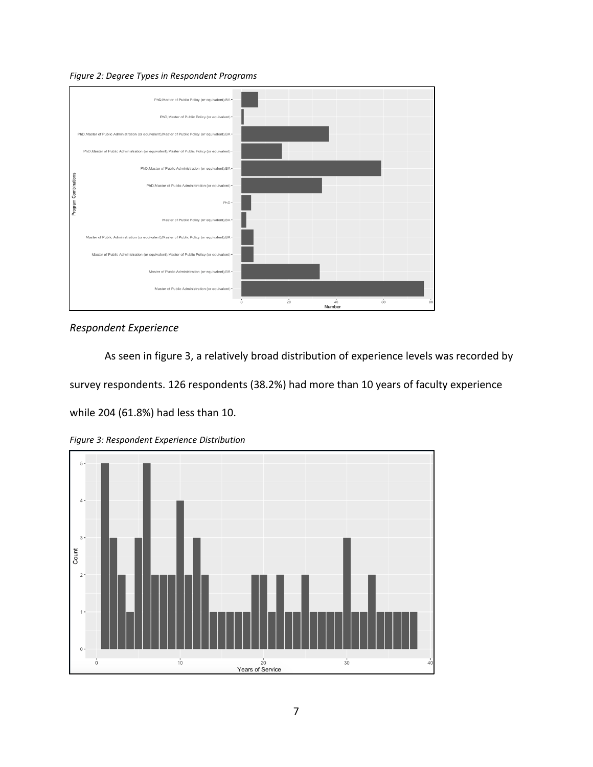



*Respondent Experience*

As seen in figure 3, a relatively broad distribution of experience levels was recorded by

survey respondents. 126 respondents (38.2%) had more than 10 years of faculty experience

while 204 (61.8%) had less than 10.



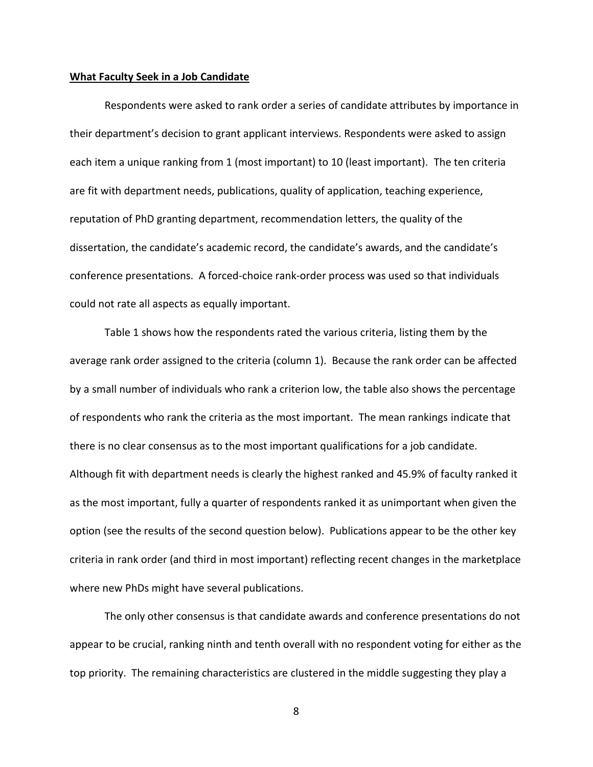#### **What Faculty Seek in a Job Candidate**

Respondents were asked to rank order a series of candidate attributes by importance in their department's decision to grant applicant interviews. Respondents were asked to assign each item a unique ranking from 1 (most important) to 10 (least important). The ten criteria are fit with department needs, publications, quality of application, teaching experience, reputation of PhD granting department, recommendation letters, the quality of the dissertation, the candidate's academic record, the candidate's awards, and the candidate's conference presentations. A forced-choice rank-order process was used so that individuals could not rate all aspects as equally important.

Table 1 shows how the respondents rated the various criteria, listing them by the average rank order assigned to the criteria (column 1). Because the rank order can be affected by a small number of individuals who rank a criterion low, the table also shows the percentage of respondents who rank the criteria as the most important. The mean rankings indicate that there is no clear consensus as to the most important qualifications for a job candidate. Although fit with department needs is clearly the highest ranked and 45.9% of faculty ranked it as the most important, fully a quarter of respondents ranked it as unimportant when given the option (see the results of the second question below). Publications appear to be the other key criteria in rank order (and third in most important) reflecting recent changes in the marketplace where new PhDs might have several publications.

The only other consensus is that candidate awards and conference presentations do not appear to be crucial, ranking ninth and tenth overall with no respondent voting for either as the top priority. The remaining characteristics are clustered in the middle suggesting they play a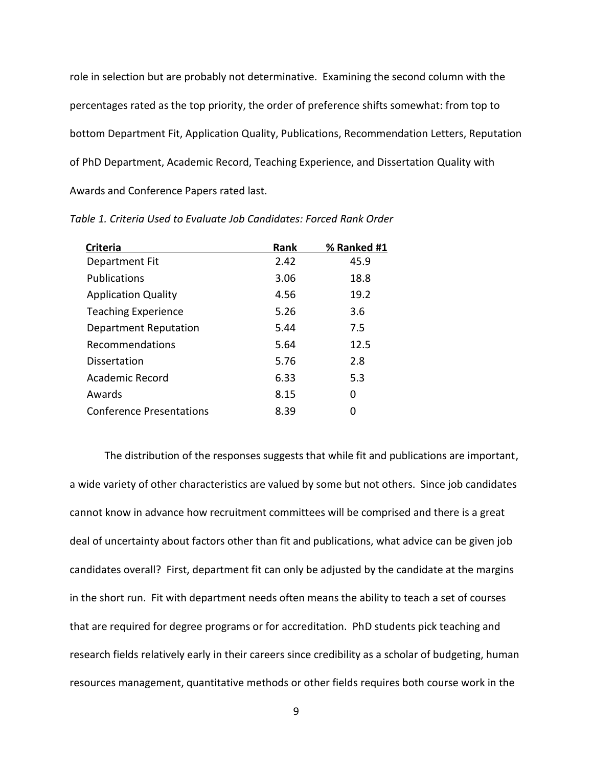role in selection but are probably not determinative. Examining the second column with the percentages rated as the top priority, the order of preference shifts somewhat: from top to bottom Department Fit, Application Quality, Publications, Recommendation Letters, Reputation of PhD Department, Academic Record, Teaching Experience, and Dissertation Quality with Awards and Conference Papers rated last.

| <b>Criteria</b>                 | Rank | % Ranked #1 |
|---------------------------------|------|-------------|
| Department Fit                  | 2.42 | 45.9        |
| Publications                    | 3.06 | 18.8        |
| <b>Application Quality</b>      | 4.56 | 19.2        |
| <b>Teaching Experience</b>      | 5.26 | 3.6         |
| Department Reputation           | 5.44 | 7.5         |
| Recommendations                 | 5.64 | 12.5        |
| Dissertation                    | 5.76 | 2.8         |
| Academic Record                 | 6.33 | 5.3         |
| Awards                          | 8.15 | O           |
| <b>Conference Presentations</b> | 8.39 |             |

*Table 1. Criteria Used to Evaluate Job Candidates: Forced Rank Order*

The distribution of the responses suggests that while fit and publications are important, a wide variety of other characteristics are valued by some but not others. Since job candidates cannot know in advance how recruitment committees will be comprised and there is a great deal of uncertainty about factors other than fit and publications, what advice can be given job candidates overall? First, department fit can only be adjusted by the candidate at the margins in the short run. Fit with department needs often means the ability to teach a set of courses that are required for degree programs or for accreditation. PhD students pick teaching and research fields relatively early in their careers since credibility as a scholar of budgeting, human resources management, quantitative methods or other fields requires both course work in the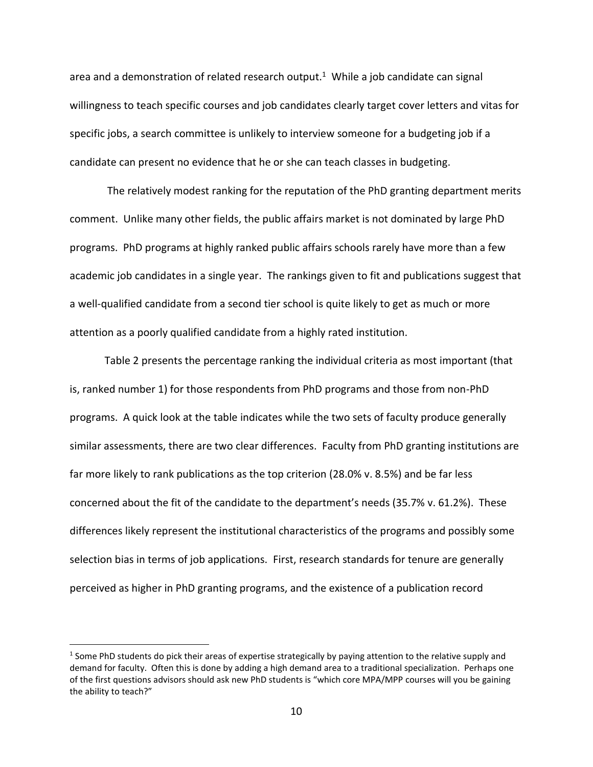area and a demonstration of related research output.<sup>1</sup> While a job candidate can signal willingness to teach specific courses and job candidates clearly target cover letters and vitas for specific jobs, a search committee is unlikely to interview someone for a budgeting job if a candidate can present no evidence that he or she can teach classes in budgeting.

The relatively modest ranking for the reputation of the PhD granting department merits comment. Unlike many other fields, the public affairs market is not dominated by large PhD programs. PhD programs at highly ranked public affairs schools rarely have more than a few academic job candidates in a single year. The rankings given to fit and publications suggest that a well-qualified candidate from a second tier school is quite likely to get as much or more attention as a poorly qualified candidate from a highly rated institution.

Table 2 presents the percentage ranking the individual criteria as most important (that is, ranked number 1) for those respondents from PhD programs and those from non-PhD programs. A quick look at the table indicates while the two sets of faculty produce generally similar assessments, there are two clear differences. Faculty from PhD granting institutions are far more likely to rank publications as the top criterion (28.0% v. 8.5%) and be far less concerned about the fit of the candidate to the department's needs (35.7% v. 61.2%). These differences likely represent the institutional characteristics of the programs and possibly some selection bias in terms of job applications. First, research standards for tenure are generally perceived as higher in PhD granting programs, and the existence of a publication record

 $1$  Some PhD students do pick their areas of expertise strategically by paying attention to the relative supply and demand for faculty. Often this is done by adding a high demand area to a traditional specialization. Perhaps one of the first questions advisors should ask new PhD students is "which core MPA/MPP courses will you be gaining the ability to teach?"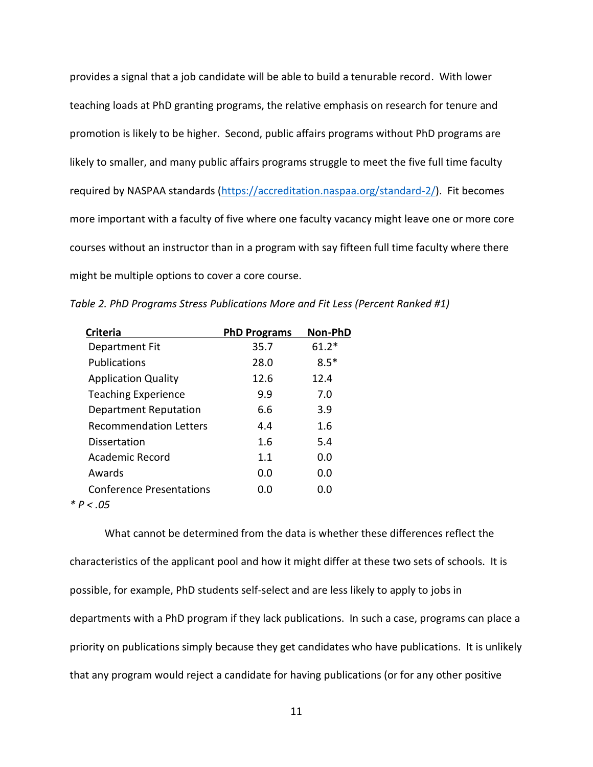provides a signal that a job candidate will be able to build a tenurable record. With lower teaching loads at PhD granting programs, the relative emphasis on research for tenure and promotion is likely to be higher. Second, public affairs programs without PhD programs are likely to smaller, and many public affairs programs struggle to meet the five full time faculty required by NASPAA standards [\(https://accreditation.naspaa.org/standard-2/\)](https://accreditation.naspaa.org/standard-2/). Fit becomes more important with a faculty of five where one faculty vacancy might leave one or more core courses without an instructor than in a program with say fifteen full time faculty where there might be multiple options to cover a core course.

| <b>Criteria</b>                 | <b>PhD Programs</b> | Non-PhD |
|---------------------------------|---------------------|---------|
| Department Fit                  | 35.7                | $61.2*$ |
| <b>Publications</b>             | 28.0                | $8.5*$  |
| <b>Application Quality</b>      | 12.6                | 12.4    |
| <b>Teaching Experience</b>      | 9.9                 | 7.0     |
| Department Reputation           | 6.6                 | 3.9     |
| <b>Recommendation Letters</b>   | 4.4                 | 1.6     |
| Dissertation                    | 1.6                 | 5.4     |
| Academic Record                 | 1.1                 | 0.0     |
| Awards                          | 0.0                 | 0.0     |
| <b>Conference Presentations</b> | 0.0                 | 0.0     |
| * $P < .05$                     |                     |         |

*Table 2. PhD Programs Stress Publications More and Fit Less (Percent Ranked #1)*

What cannot be determined from the data is whether these differences reflect the characteristics of the applicant pool and how it might differ at these two sets of schools. It is possible, for example, PhD students self-select and are less likely to apply to jobs in departments with a PhD program if they lack publications. In such a case, programs can place a priority on publications simply because they get candidates who have publications. It is unlikely that any program would reject a candidate for having publications (or for any other positive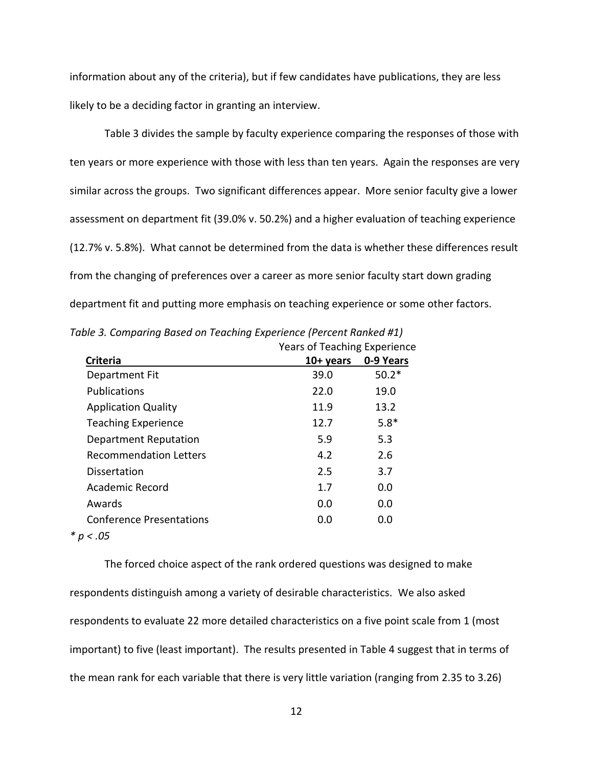information about any of the criteria), but if few candidates have publications, they are less likely to be a deciding factor in granting an interview.

Table 3 divides the sample by faculty experience comparing the responses of those with ten years or more experience with those with less than ten years. Again the responses are very similar across the groups. Two significant differences appear. More senior faculty give a lower assessment on department fit (39.0% v. 50.2%) and a higher evaluation of teaching experience (12.7% v. 5.8%). What cannot be determined from the data is whether these differences result from the changing of preferences over a career as more senior faculty start down grading department fit and putting more emphasis on teaching experience or some other factors.

|                                 | $\frac{1}{2}$ |           |
|---------------------------------|---------------|-----------|
| <b>Criteria</b>                 | $10+$ years   | 0-9 Years |
| Department Fit                  | 39.0          | $50.2*$   |
| <b>Publications</b>             | 22.0          | 19.0      |
| <b>Application Quality</b>      | 11.9          | 13.2      |
| <b>Teaching Experience</b>      | 12.7          | $5.8*$    |
| Department Reputation           | 5.9           | 5.3       |
| <b>Recommendation Letters</b>   | 4.2           | 2.6       |
| Dissertation                    | 2.5           | 3.7       |
| Academic Record                 | 1.7           | 0.0       |
| Awards                          | 0.0           | 0.0       |
| <b>Conference Presentations</b> | 0.0           | 0.0       |
| * $p < .05$                     |               |           |
|                                 |               |           |

*Table 3. Comparing Based on Teaching Experience (Percent Ranked #1)* Years of Teaching Experience

The forced choice aspect of the rank ordered questions was designed to make respondents distinguish among a variety of desirable characteristics. We also asked respondents to evaluate 22 more detailed characteristics on a five point scale from 1 (most important) to five (least important). The results presented in Table 4 suggest that in terms of the mean rank for each variable that there is very little variation (ranging from 2.35 to 3.26)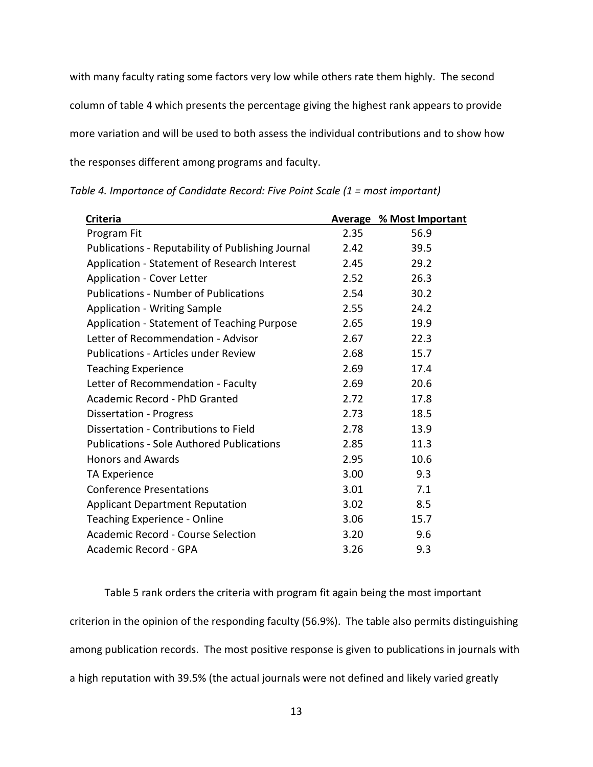with many faculty rating some factors very low while others rate them highly. The second column of table 4 which presents the percentage giving the highest rank appears to provide more variation and will be used to both assess the individual contributions and to show how the responses different among programs and faculty.

| <b>Criteria</b>                                   |      | <b>Average % Most Important</b> |
|---------------------------------------------------|------|---------------------------------|
| Program Fit                                       | 2.35 | 56.9                            |
| Publications - Reputability of Publishing Journal | 2.42 | 39.5                            |
| Application - Statement of Research Interest      | 2.45 | 29.2                            |
| <b>Application - Cover Letter</b>                 | 2.52 | 26.3                            |
| <b>Publications - Number of Publications</b>      | 2.54 | 30.2                            |
| <b>Application - Writing Sample</b>               | 2.55 | 24.2                            |
| Application - Statement of Teaching Purpose       | 2.65 | 19.9                            |
| Letter of Recommendation - Advisor                | 2.67 | 22.3                            |
| <b>Publications - Articles under Review</b>       | 2.68 | 15.7                            |
| <b>Teaching Experience</b>                        | 2.69 | 17.4                            |
| Letter of Recommendation - Faculty                | 2.69 | 20.6                            |
| Academic Record - PhD Granted                     | 2.72 | 17.8                            |
| <b>Dissertation - Progress</b>                    | 2.73 | 18.5                            |
| Dissertation - Contributions to Field             | 2.78 | 13.9                            |
| <b>Publications - Sole Authored Publications</b>  | 2.85 | 11.3                            |
| <b>Honors and Awards</b>                          | 2.95 | 10.6                            |
| TA Experience                                     | 3.00 | 9.3                             |
| <b>Conference Presentations</b>                   | 3.01 | 7.1                             |
| <b>Applicant Department Reputation</b>            | 3.02 | 8.5                             |
| Teaching Experience - Online                      | 3.06 | 15.7                            |
| <b>Academic Record - Course Selection</b>         | 3.20 | 9.6                             |
| Academic Record - GPA                             | 3.26 | 9.3                             |

*Table 4. Importance of Candidate Record: Five Point Scale (1 = most important)*

Table 5 rank orders the criteria with program fit again being the most important criterion in the opinion of the responding faculty (56.9%). The table also permits distinguishing among publication records. The most positive response is given to publications in journals with a high reputation with 39.5% (the actual journals were not defined and likely varied greatly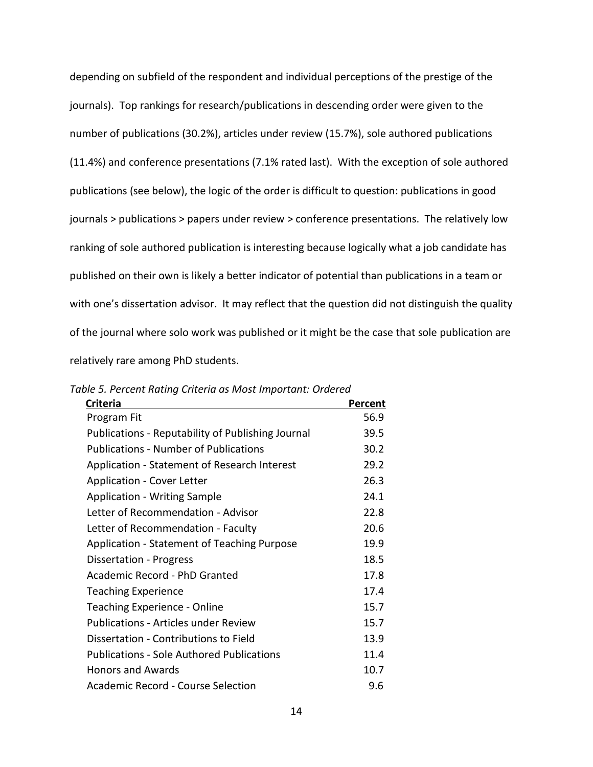depending on subfield of the respondent and individual perceptions of the prestige of the journals). Top rankings for research/publications in descending order were given to the number of publications (30.2%), articles under review (15.7%), sole authored publications (11.4%) and conference presentations (7.1% rated last). With the exception of sole authored publications (see below), the logic of the order is difficult to question: publications in good journals > publications > papers under review > conference presentations. The relatively low ranking of sole authored publication is interesting because logically what a job candidate has published on their own is likely a better indicator of potential than publications in a team or with one's dissertation advisor. It may reflect that the question did not distinguish the quality of the journal where solo work was published or it might be the case that sole publication are relatively rare among PhD students.

| <b>Criteria</b>                                   | Percent |
|---------------------------------------------------|---------|
| Program Fit                                       | 56.9    |
| Publications - Reputability of Publishing Journal | 39.5    |
| <b>Publications - Number of Publications</b>      | 30.2    |
| Application - Statement of Research Interest      | 29.2    |
| <b>Application - Cover Letter</b>                 | 26.3    |
| <b>Application - Writing Sample</b>               | 24.1    |
| Letter of Recommendation - Advisor                | 22.8    |
| Letter of Recommendation - Faculty                | 20.6    |
| Application - Statement of Teaching Purpose       | 19.9    |
| Dissertation - Progress                           | 18.5    |
| Academic Record - PhD Granted                     | 17.8    |
| <b>Teaching Experience</b>                        | 17.4    |
| Teaching Experience - Online                      | 15.7    |
| <b>Publications - Articles under Review</b>       | 15.7    |
| Dissertation - Contributions to Field             | 13.9    |
| Publications - Sole Authored Publications         | 11.4    |
| <b>Honors and Awards</b>                          | 10.7    |
| Academic Record - Course Selection                | 9.6     |

*Table 5. Percent Rating Criteria as Most Important: Ordered*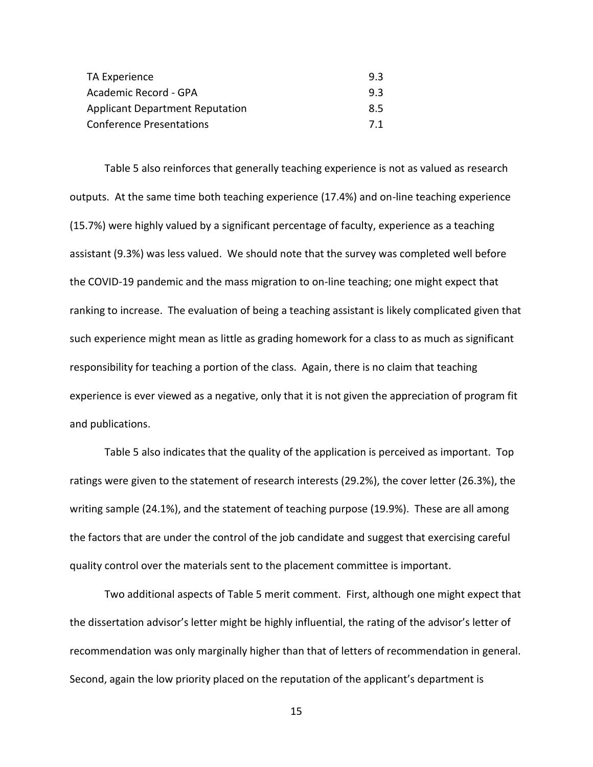| TA Experience                          | 9.3 |
|----------------------------------------|-----|
| Academic Record - GPA                  | 9.3 |
| <b>Applicant Department Reputation</b> | 8.5 |
| <b>Conference Presentations</b>        | 7.1 |

Table 5 also reinforces that generally teaching experience is not as valued as research outputs. At the same time both teaching experience (17.4%) and on-line teaching experience (15.7%) were highly valued by a significant percentage of faculty, experience as a teaching assistant (9.3%) was less valued. We should note that the survey was completed well before the COVID-19 pandemic and the mass migration to on-line teaching; one might expect that ranking to increase. The evaluation of being a teaching assistant is likely complicated given that such experience might mean as little as grading homework for a class to as much as significant responsibility for teaching a portion of the class. Again, there is no claim that teaching experience is ever viewed as a negative, only that it is not given the appreciation of program fit and publications.

Table 5 also indicates that the quality of the application is perceived as important. Top ratings were given to the statement of research interests (29.2%), the cover letter (26.3%), the writing sample (24.1%), and the statement of teaching purpose (19.9%). These are all among the factors that are under the control of the job candidate and suggest that exercising careful quality control over the materials sent to the placement committee is important.

Two additional aspects of Table 5 merit comment. First, although one might expect that the dissertation advisor's letter might be highly influential, the rating of the advisor's letter of recommendation was only marginally higher than that of letters of recommendation in general. Second, again the low priority placed on the reputation of the applicant's department is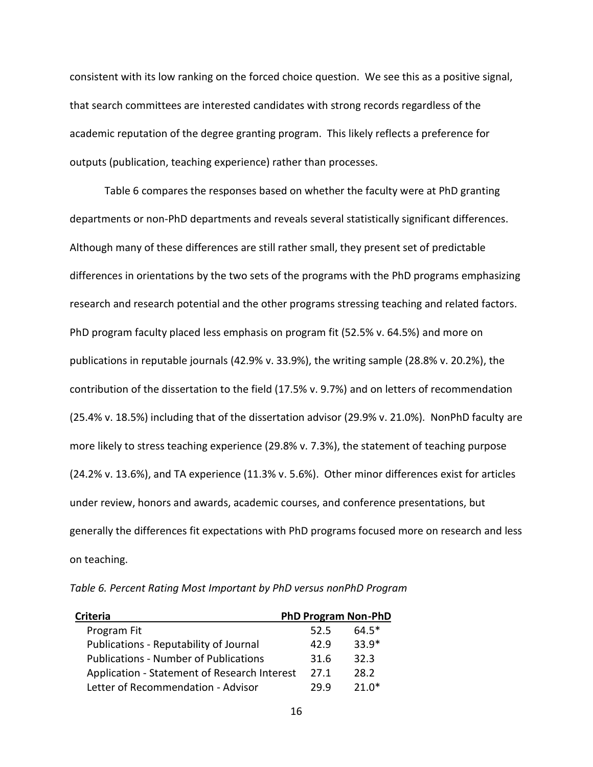consistent with its low ranking on the forced choice question. We see this as a positive signal, that search committees are interested candidates with strong records regardless of the academic reputation of the degree granting program. This likely reflects a preference for outputs (publication, teaching experience) rather than processes.

Table 6 compares the responses based on whether the faculty were at PhD granting departments or non-PhD departments and reveals several statistically significant differences. Although many of these differences are still rather small, they present set of predictable differences in orientations by the two sets of the programs with the PhD programs emphasizing research and research potential and the other programs stressing teaching and related factors. PhD program faculty placed less emphasis on program fit (52.5% v. 64.5%) and more on publications in reputable journals (42.9% v. 33.9%), the writing sample (28.8% v. 20.2%), the contribution of the dissertation to the field (17.5% v. 9.7%) and on letters of recommendation (25.4% v. 18.5%) including that of the dissertation advisor (29.9% v. 21.0%). NonPhD faculty are more likely to stress teaching experience (29.8% v. 7.3%), the statement of teaching purpose (24.2% v. 13.6%), and TA experience (11.3% v. 5.6%). Other minor differences exist for articles under review, honors and awards, academic courses, and conference presentations, but generally the differences fit expectations with PhD programs focused more on research and less on teaching.

*Table 6. Percent Rating Most Important by PhD versus nonPhD Program*

| Criteria                                     | <b>PhD Program Non-PhD</b> |         |
|----------------------------------------------|----------------------------|---------|
| Program Fit                                  | 52.5                       | $64.5*$ |
| Publications - Reputability of Journal       | 42.9                       | $33.9*$ |
| <b>Publications - Number of Publications</b> | 31.6                       | 32.3    |
| Application - Statement of Research Interest | 27.1                       | 28.2    |
| Letter of Recommendation - Advisor           | 29.9                       | $21.0*$ |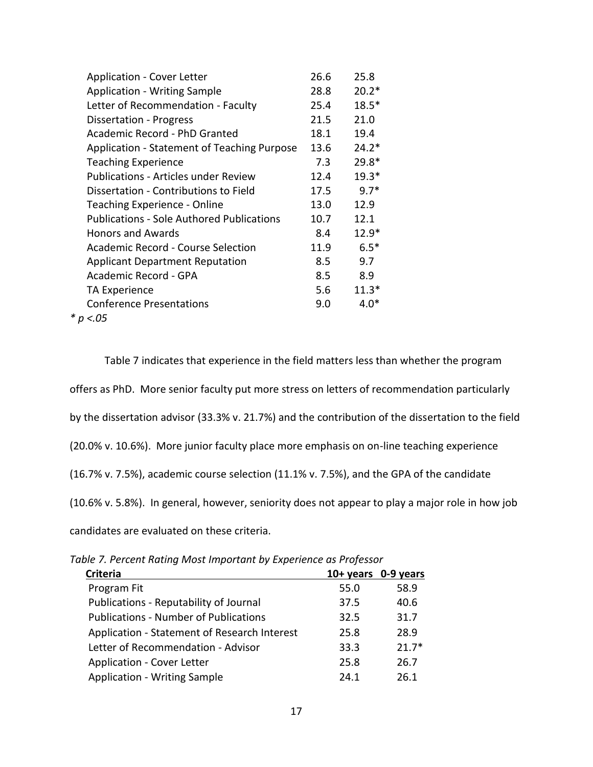| <b>Application - Cover Letter</b>                | 26.6 | 25.8    |
|--------------------------------------------------|------|---------|
| <b>Application - Writing Sample</b>              | 28.8 | $20.2*$ |
| Letter of Recommendation - Faculty               | 25.4 | $18.5*$ |
| Dissertation - Progress                          | 21.5 | 21.0    |
| Academic Record - PhD Granted                    | 18.1 | 19.4    |
| Application - Statement of Teaching Purpose      | 13.6 | $24.2*$ |
| <b>Teaching Experience</b>                       | 7.3  | $29.8*$ |
| <b>Publications - Articles under Review</b>      | 12.4 | $19.3*$ |
| Dissertation - Contributions to Field            | 17.5 | $9.7*$  |
| Teaching Experience - Online                     | 13.0 | 12.9    |
| <b>Publications - Sole Authored Publications</b> | 10.7 | 12.1    |
| <b>Honors and Awards</b>                         | 8.4  | $12.9*$ |
| <b>Academic Record - Course Selection</b>        | 11.9 | $6.5*$  |
| <b>Applicant Department Reputation</b>           | 8.5  | 9.7     |
| Academic Record - GPA                            | 8.5  | 8.9     |
| TA Experience                                    | 5.6  | $11.3*$ |
| <b>Conference Presentations</b>                  | 9.0  | $4.0*$  |
| * p <.05                                         |      |         |

Table 7 indicates that experience in the field matters less than whether the program offers as PhD. More senior faculty put more stress on letters of recommendation particularly by the dissertation advisor (33.3% v. 21.7%) and the contribution of the dissertation to the field (20.0% v. 10.6%). More junior faculty place more emphasis on on-line teaching experience (16.7% v. 7.5%), academic course selection (11.1% v. 7.5%), and the GPA of the candidate (10.6% v. 5.8%). In general, however, seniority does not appear to play a major role in how job candidates are evaluated on these criteria.

|  |  |  |  |  |  | Table 7. Percent Rating Most Important by Experience as Professor |  |  |
|--|--|--|--|--|--|-------------------------------------------------------------------|--|--|
|--|--|--|--|--|--|-------------------------------------------------------------------|--|--|

| <b>Criteria</b>                              | 10+ years 0-9 years |         |
|----------------------------------------------|---------------------|---------|
| Program Fit                                  | 55.0                | 58.9    |
| Publications - Reputability of Journal       | 37.5                | 40.6    |
| <b>Publications - Number of Publications</b> | 32.5                | 31.7    |
| Application - Statement of Research Interest | 25.8                | 28.9    |
| Letter of Recommendation - Advisor           | 33.3                | $21.7*$ |
| <b>Application - Cover Letter</b>            | 25.8                | 26.7    |
| <b>Application - Writing Sample</b>          | 24.1                | 26.1    |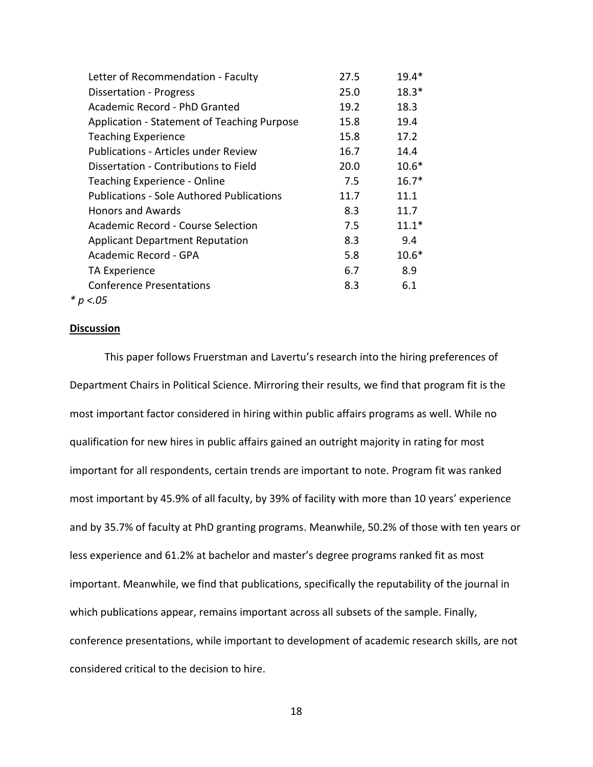| Letter of Recommendation - Faculty               | 27.5 | $19.4*$ |
|--------------------------------------------------|------|---------|
| <b>Dissertation - Progress</b>                   | 25.0 | $18.3*$ |
| Academic Record - PhD Granted                    | 19.2 | 18.3    |
| Application - Statement of Teaching Purpose      | 15.8 | 19.4    |
| <b>Teaching Experience</b>                       | 15.8 | 17.2    |
| <b>Publications - Articles under Review</b>      | 16.7 | 14.4    |
| Dissertation - Contributions to Field            | 20.0 | $10.6*$ |
| Teaching Experience - Online                     | 7.5  | $16.7*$ |
| <b>Publications - Sole Authored Publications</b> | 11.7 | 11.1    |
| <b>Honors and Awards</b>                         | 8.3  | 11.7    |
| Academic Record - Course Selection               | 7.5  | $11.1*$ |
| <b>Applicant Department Reputation</b>           | 8.3  | 9.4     |
| Academic Record - GPA                            | 5.8  | $10.6*$ |
| TA Experience                                    | 6.7  | 8.9     |
| <b>Conference Presentations</b>                  | 8.3  | 6.1     |
| * $p < 0.05$                                     |      |         |

## **Discussion**

This paper follows Fruerstman and Lavertu's research into the hiring preferences of Department Chairs in Political Science. Mirroring their results, we find that program fit is the most important factor considered in hiring within public affairs programs as well. While no qualification for new hires in public affairs gained an outright majority in rating for most important for all respondents, certain trends are important to note. Program fit was ranked most important by 45.9% of all faculty, by 39% of facility with more than 10 years' experience and by 35.7% of faculty at PhD granting programs. Meanwhile, 50.2% of those with ten years or less experience and 61.2% at bachelor and master's degree programs ranked fit as most important. Meanwhile, we find that publications, specifically the reputability of the journal in which publications appear, remains important across all subsets of the sample. Finally, conference presentations, while important to development of academic research skills, are not considered critical to the decision to hire.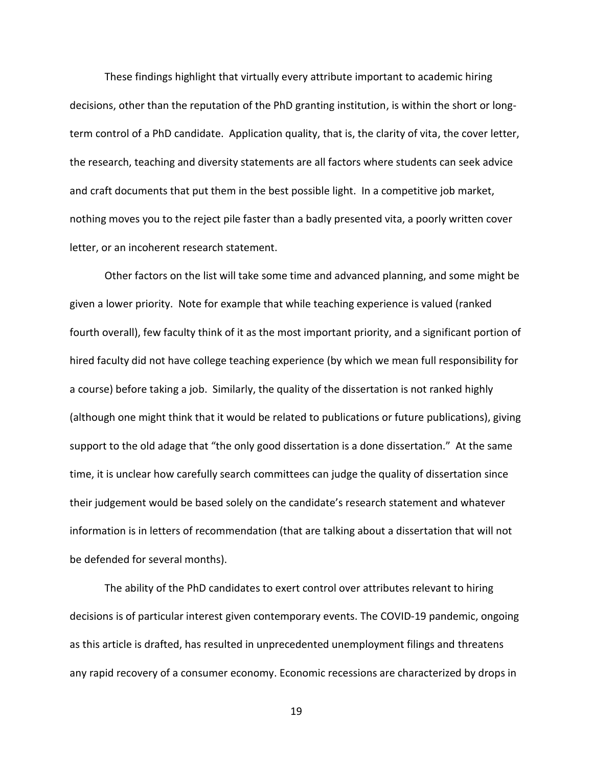These findings highlight that virtually every attribute important to academic hiring decisions, other than the reputation of the PhD granting institution, is within the short or longterm control of a PhD candidate. Application quality, that is, the clarity of vita, the cover letter, the research, teaching and diversity statements are all factors where students can seek advice and craft documents that put them in the best possible light. In a competitive job market, nothing moves you to the reject pile faster than a badly presented vita, a poorly written cover letter, or an incoherent research statement.

Other factors on the list will take some time and advanced planning, and some might be given a lower priority. Note for example that while teaching experience is valued (ranked fourth overall), few faculty think of it as the most important priority, and a significant portion of hired faculty did not have college teaching experience (by which we mean full responsibility for a course) before taking a job. Similarly, the quality of the dissertation is not ranked highly (although one might think that it would be related to publications or future publications), giving support to the old adage that "the only good dissertation is a done dissertation." At the same time, it is unclear how carefully search committees can judge the quality of dissertation since their judgement would be based solely on the candidate's research statement and whatever information is in letters of recommendation (that are talking about a dissertation that will not be defended for several months).

The ability of the PhD candidates to exert control over attributes relevant to hiring decisions is of particular interest given contemporary events. The COVID-19 pandemic, ongoing as this article is drafted, has resulted in unprecedented unemployment filings and threatens any rapid recovery of a consumer economy. Economic recessions are characterized by drops in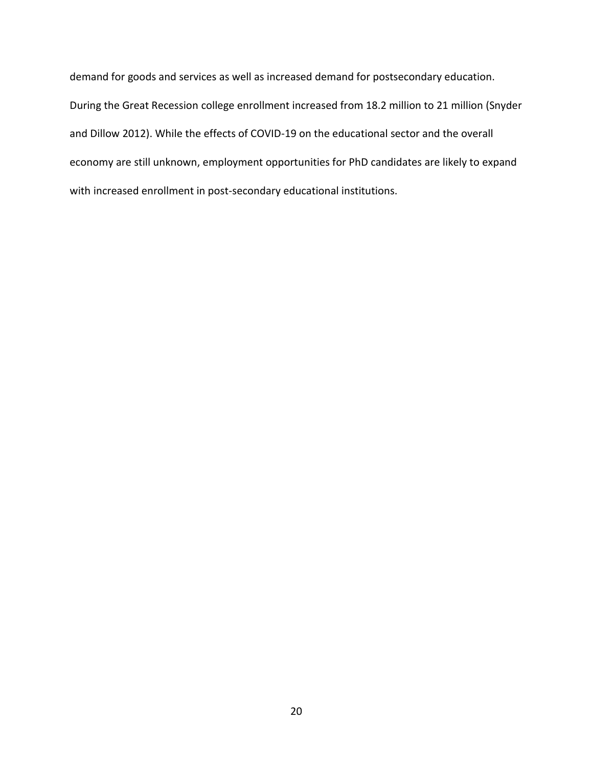demand for goods and services as well as increased demand for postsecondary education. During the Great Recession college enrollment increased from 18.2 million to 21 million (Snyder and Dillow 2012). While the effects of COVID-19 on the educational sector and the overall economy are still unknown, employment opportunities for PhD candidates are likely to expand with increased enrollment in post-secondary educational institutions.